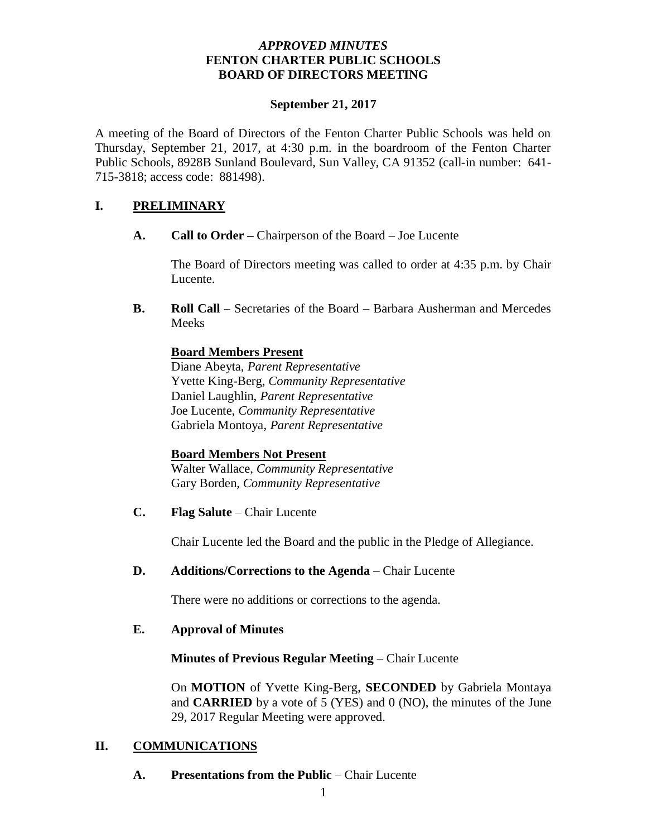### *APPROVED MINUTES*  **FENTON CHARTER PUBLIC SCHOOLS BOARD OF DIRECTORS MEETING**

#### **September 21, 2017**

A meeting of the Board of Directors of the Fenton Charter Public Schools was held on Thursday, September 21, 2017, at 4:30 p.m. in the boardroom of the Fenton Charter Public Schools, 8928B Sunland Boulevard, Sun Valley, CA 91352 (call-in number: 641- 715-3818; access code: 881498).

## **I. PRELIMINARY**

**A. Call to Order –** Chairperson of the Board – Joe Lucente

The Board of Directors meeting was called to order at 4:35 p.m. by Chair Lucente.

**B. Roll Call** – Secretaries of the Board – Barbara Ausherman and Mercedes Meeks

## **Board Members Present**

Diane Abeyta, *Parent Representative* Yvette King-Berg, *Community Representative* Daniel Laughlin, *Parent Representative* Joe Lucente, *Community Representative* Gabriela Montoya, *Parent Representative*

## **Board Members Not Present**

Walter Wallace, *Community Representative* Gary Borden, *Community Representative*

**C. Flag Salute** – Chair Lucente

Chair Lucente led the Board and the public in the Pledge of Allegiance.

**D. Additions/Corrections to the Agenda** – Chair Lucente

There were no additions or corrections to the agenda.

## **E. Approval of Minutes**

## **Minutes of Previous Regular Meeting** – Chair Lucente

On **MOTION** of Yvette King-Berg, **SECONDED** by Gabriela Montaya and **CARRIED** by a vote of 5 (YES) and 0 (NO), the minutes of the June 29, 2017 Regular Meeting were approved.

## **II. COMMUNICATIONS**

**A. Presentations from the Public** – Chair Lucente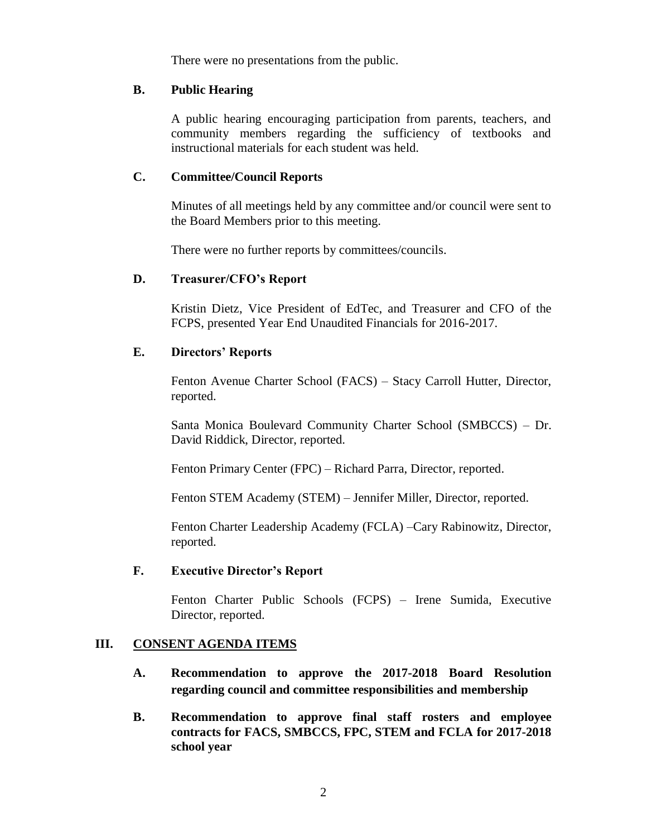There were no presentations from the public.

#### **B. Public Hearing**

A public hearing encouraging participation from parents, teachers, and community members regarding the sufficiency of textbooks and instructional materials for each student was held.

#### **C. Committee/Council Reports**

Minutes of all meetings held by any committee and/or council were sent to the Board Members prior to this meeting.

There were no further reports by committees/councils.

### **D. Treasurer/CFO's Report**

Kristin Dietz, Vice President of EdTec, and Treasurer and CFO of the FCPS, presented Year End Unaudited Financials for 2016-2017.

### **E. Directors' Reports**

Fenton Avenue Charter School (FACS) – Stacy Carroll Hutter, Director, reported.

Santa Monica Boulevard Community Charter School (SMBCCS) – Dr. David Riddick, Director, reported.

Fenton Primary Center (FPC) – Richard Parra, Director, reported.

Fenton STEM Academy (STEM) – Jennifer Miller, Director, reported.

Fenton Charter Leadership Academy (FCLA) –Cary Rabinowitz, Director, reported.

#### **F. Executive Director's Report**

Fenton Charter Public Schools (FCPS) – Irene Sumida, Executive Director, reported.

#### **III. CONSENT AGENDA ITEMS**

- **A. Recommendation to approve the 2017-2018 Board Resolution regarding council and committee responsibilities and membership**
- **B. Recommendation to approve final staff rosters and employee contracts for FACS, SMBCCS, FPC, STEM and FCLA for 2017-2018 school year**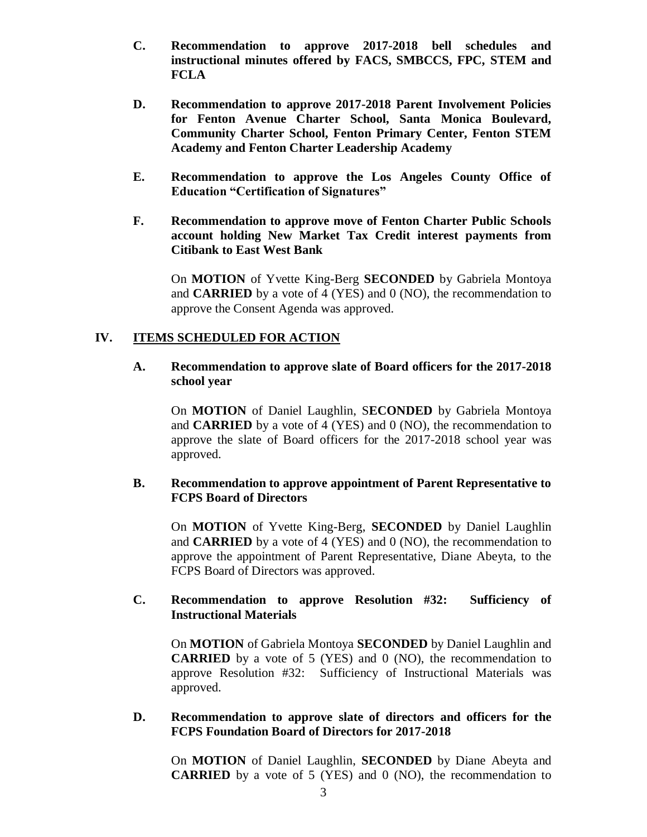- **C. Recommendation to approve 2017-2018 bell schedules and instructional minutes offered by FACS, SMBCCS, FPC, STEM and FCLA**
- **D. Recommendation to approve 2017-2018 Parent Involvement Policies for Fenton Avenue Charter School, Santa Monica Boulevard, Community Charter School, Fenton Primary Center, Fenton STEM Academy and Fenton Charter Leadership Academy**
- **E. Recommendation to approve the Los Angeles County Office of Education "Certification of Signatures"**
- **F. Recommendation to approve move of Fenton Charter Public Schools account holding New Market Tax Credit interest payments from Citibank to East West Bank**

On **MOTION** of Yvette King-Berg **SECONDED** by Gabriela Montoya and **CARRIED** by a vote of 4 (YES) and 0 (NO), the recommendation to approve the Consent Agenda was approved.

### **IV. ITEMS SCHEDULED FOR ACTION**

#### **A. Recommendation to approve slate of Board officers for the 2017-2018 school year**

On **MOTION** of Daniel Laughlin, S**ECONDED** by Gabriela Montoya and **CARRIED** by a vote of 4 (YES) and 0 (NO), the recommendation to approve the slate of Board officers for the 2017-2018 school year was approved.

### **B. Recommendation to approve appointment of Parent Representative to FCPS Board of Directors**

On **MOTION** of Yvette King-Berg, **SECONDED** by Daniel Laughlin and **CARRIED** by a vote of 4 (YES) and 0 (NO), the recommendation to approve the appointment of Parent Representative, Diane Abeyta, to the FCPS Board of Directors was approved.

### **C. Recommendation to approve Resolution #32: Sufficiency of Instructional Materials**

On **MOTION** of Gabriela Montoya **SECONDED** by Daniel Laughlin and **CARRIED** by a vote of 5 (YES) and 0 (NO), the recommendation to approve Resolution #32: Sufficiency of Instructional Materials was approved.

#### **D. Recommendation to approve slate of directors and officers for the FCPS Foundation Board of Directors for 2017-2018**

On **MOTION** of Daniel Laughlin, **SECONDED** by Diane Abeyta and **CARRIED** by a vote of 5 (YES) and 0 (NO), the recommendation to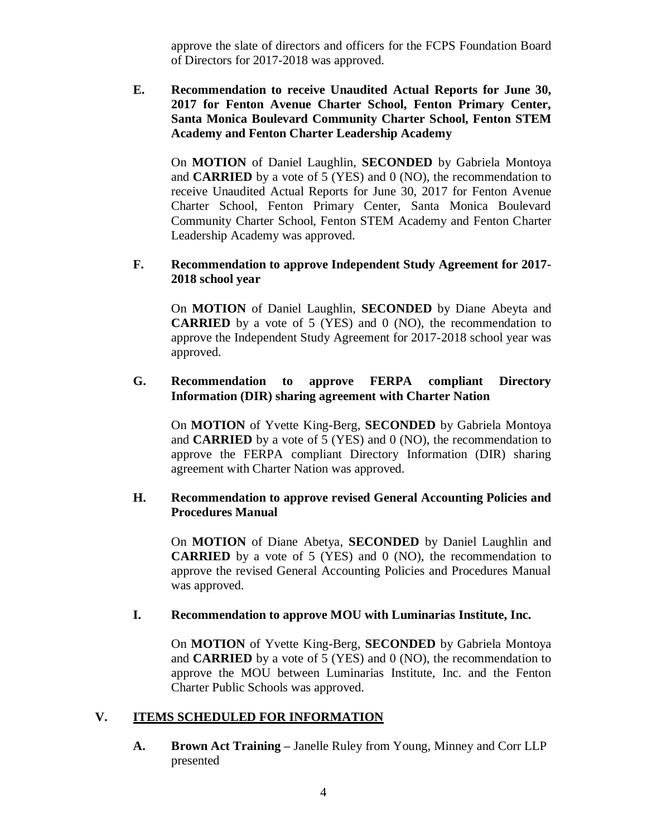approve the slate of directors and officers for the FCPS Foundation Board of Directors for 2017-2018 was approved.

**E. Recommendation to receive Unaudited Actual Reports for June 30, 2017 for Fenton Avenue Charter School, Fenton Primary Center, Santa Monica Boulevard Community Charter School, Fenton STEM Academy and Fenton Charter Leadership Academy** 

On **MOTION** of Daniel Laughlin, **SECONDED** by Gabriela Montoya and **CARRIED** by a vote of 5 (YES) and 0 (NO), the recommendation to receive Unaudited Actual Reports for June 30, 2017 for Fenton Avenue Charter School, Fenton Primary Center, Santa Monica Boulevard Community Charter School, Fenton STEM Academy and Fenton Charter Leadership Academy was approved.

### **F. Recommendation to approve Independent Study Agreement for 2017- 2018 school year**

On **MOTION** of Daniel Laughlin, **SECONDED** by Diane Abeyta and **CARRIED** by a vote of 5 (YES) and 0 (NO), the recommendation to approve the Independent Study Agreement for 2017-2018 school year was approved.

### **G. Recommendation to approve FERPA compliant Directory Information (DIR) sharing agreement with Charter Nation**

On **MOTION** of Yvette King-Berg, **SECONDED** by Gabriela Montoya and **CARRIED** by a vote of 5 (YES) and 0 (NO), the recommendation to approve the FERPA compliant Directory Information (DIR) sharing agreement with Charter Nation was approved.

### **H. Recommendation to approve revised General Accounting Policies and Procedures Manual**

On **MOTION** of Diane Abetya, **SECONDED** by Daniel Laughlin and **CARRIED** by a vote of 5 (YES) and 0 (NO), the recommendation to approve the revised General Accounting Policies and Procedures Manual was approved.

#### **I. Recommendation to approve MOU with Luminarias Institute, Inc.**

On **MOTION** of Yvette King-Berg, **SECONDED** by Gabriela Montoya and **CARRIED** by a vote of 5 (YES) and 0 (NO), the recommendation to approve the MOU between Luminarias Institute, Inc. and the Fenton Charter Public Schools was approved.

## **V. ITEMS SCHEDULED FOR INFORMATION**

**A. Brown Act Training –** Janelle Ruley from Young, Minney and Corr LLP presented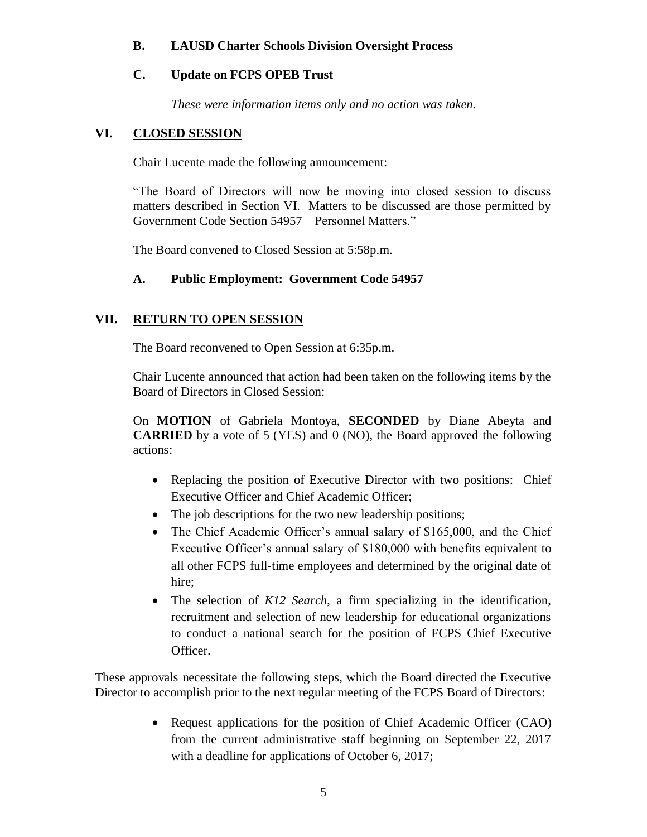## **B. LAUSD Charter Schools Division Oversight Process**

# **C. Update on FCPS OPEB Trust**

*These were information items only and no action was taken.*

## **VI. CLOSED SESSION**

Chair Lucente made the following announcement:

"The Board of Directors will now be moving into closed session to discuss matters described in Section VI. Matters to be discussed are those permitted by Government Code Section 54957 – Personnel Matters."

The Board convened to Closed Session at 5:58p.m.

## **A. Public Employment: Government Code 54957**

# **VII. RETURN TO OPEN SESSION**

The Board reconvened to Open Session at 6:35p.m.

Chair Lucente announced that action had been taken on the following items by the Board of Directors in Closed Session:

On **MOTION** of Gabriela Montoya, **SECONDED** by Diane Abeyta and **CARRIED** by a vote of 5 (YES) and 0 (NO), the Board approved the following actions:

- Replacing the position of Executive Director with two positions: Chief Executive Officer and Chief Academic Officer;
- The job descriptions for the two new leadership positions;
- The Chief Academic Officer's annual salary of \$165,000, and the Chief Executive Officer's annual salary of \$180,000 with benefits equivalent to all other FCPS full-time employees and determined by the original date of hire;
- The selection of *K12 Search*, a firm specializing in the identification, recruitment and selection of new leadership for educational organizations to conduct a national search for the position of FCPS Chief Executive Officer.

These approvals necessitate the following steps, which the Board directed the Executive Director to accomplish prior to the next regular meeting of the FCPS Board of Directors:

> • Request applications for the position of Chief Academic Officer (CAO) from the current administrative staff beginning on September 22, 2017 with a deadline for applications of October 6, 2017;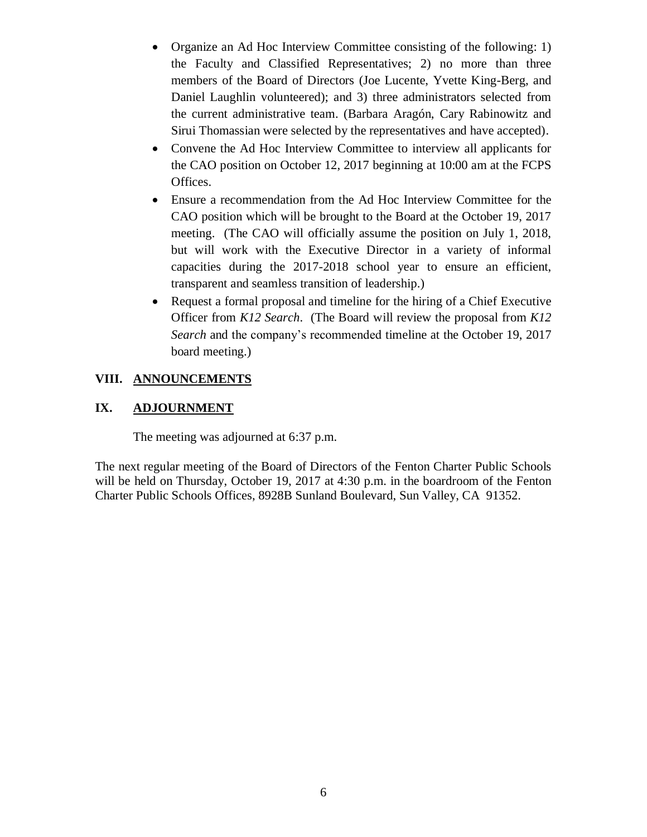- Organize an Ad Hoc Interview Committee consisting of the following: 1) the Faculty and Classified Representatives; 2) no more than three members of the Board of Directors (Joe Lucente, Yvette King-Berg, and Daniel Laughlin volunteered); and 3) three administrators selected from the current administrative team. (Barbara Aragón, Cary Rabinowitz and Sirui Thomassian were selected by the representatives and have accepted).
- Convene the Ad Hoc Interview Committee to interview all applicants for the CAO position on October 12, 2017 beginning at 10:00 am at the FCPS Offices.
- Ensure a recommendation from the Ad Hoc Interview Committee for the CAO position which will be brought to the Board at the October 19, 2017 meeting. (The CAO will officially assume the position on July 1, 2018, but will work with the Executive Director in a variety of informal capacities during the 2017-2018 school year to ensure an efficient, transparent and seamless transition of leadership.)
- Request a formal proposal and timeline for the hiring of a Chief Executive Officer from *K12 Search*. (The Board will review the proposal from *K12 Search* and the company's recommended timeline at the October 19, 2017 board meeting.)

# **VIII. ANNOUNCEMENTS**

## **IX. ADJOURNMENT**

The meeting was adjourned at 6:37 p.m.

The next regular meeting of the Board of Directors of the Fenton Charter Public Schools will be held on Thursday, October 19, 2017 at 4:30 p.m. in the boardroom of the Fenton Charter Public Schools Offices, 8928B Sunland Boulevard, Sun Valley, CA 91352.